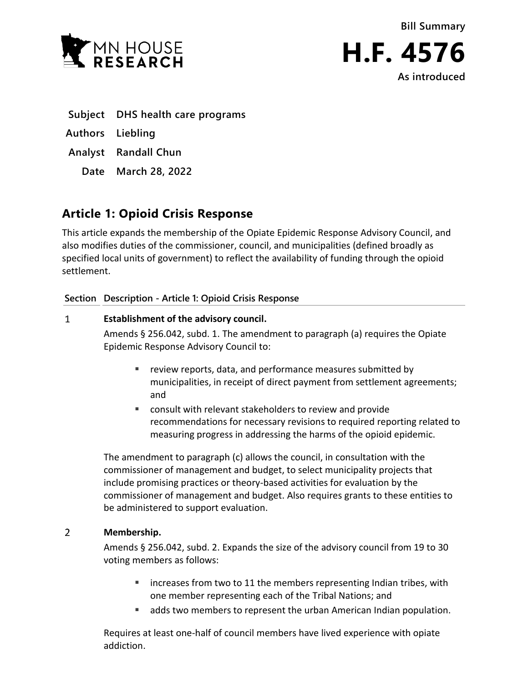



**Subject DHS health care programs**

**Authors Liebling**

**Analyst Randall Chun**

**Date March 28, 2022**

# **Article 1: Opioid Crisis Response**

This article expands the membership of the Opiate Epidemic Response Advisory Council, and also modifies duties of the commissioner, council, and municipalities (defined broadly as specified local units of government) to reflect the availability of funding through the opioid settlement.

### **Section Description - Article 1: Opioid Crisis Response**

### $\mathbf{1}$ **Establishment of the advisory council.**

Amends § 256.042, subd. 1. The amendment to paragraph (a) requires the Opiate Epidemic Response Advisory Council to:

- **Parager Fields** reports, data, and performance measures submitted by municipalities, in receipt of direct payment from settlement agreements; and
- consult with relevant stakeholders to review and provide recommendations for necessary revisions to required reporting related to measuring progress in addressing the harms of the opioid epidemic.

The amendment to paragraph (c) allows the council, in consultation with the commissioner of management and budget, to select municipality projects that include promising practices or theory-based activities for evaluation by the commissioner of management and budget. Also requires grants to these entities to be administered to support evaluation.

### $\overline{2}$ **Membership.**

Amends § 256.042, subd. 2. Expands the size of the advisory council from 19 to 30 voting members as follows:

- **EXT** increases from two to 11 the members representing Indian tribes, with one member representing each of the Tribal Nations; and
- adds two members to represent the urban American Indian population.

Requires at least one-half of council members have lived experience with opiate addiction.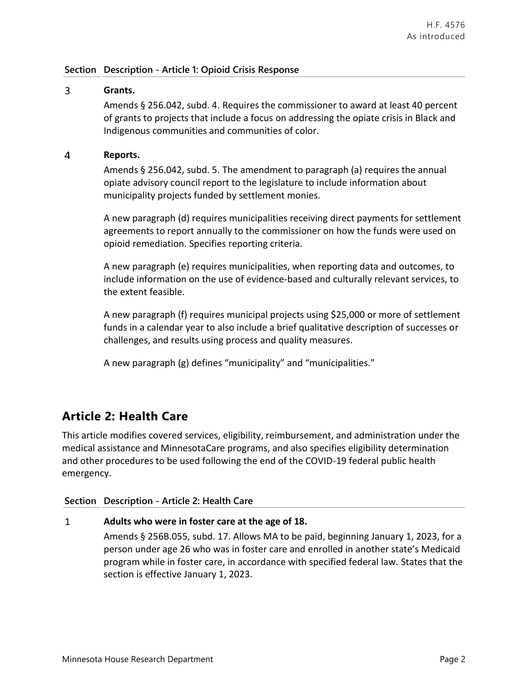### **Section Description - Article 1: Opioid Crisis Response**

### $\overline{3}$ **Grants.**

Amends § 256.042, subd. 4. Requires the commissioner to award at least 40 percent of grants to projects that include a focus on addressing the opiate crisis in Black and Indigenous communities and communities of color.

#### $\overline{4}$ **Reports.**

Amends § 256.042, subd. 5. The amendment to paragraph (a) requires the annual opiate advisory council report to the legislature to include information about municipality projects funded by settlement monies.

A new paragraph (d) requires municipalities receiving direct payments for settlement agreements to report annually to the commissioner on how the funds were used on opioid remediation. Specifies reporting criteria.

A new paragraph (e) requires municipalities, when reporting data and outcomes, to include information on the use of evidence-based and culturally relevant services, to the extent feasible.

A new paragraph (f) requires municipal projects using \$25,000 or more of settlement funds in a calendar year to also include a brief qualitative description of successes or challenges, and results using process and quality measures.

A new paragraph (g) defines "municipality" and "municipalities."

## **Article 2: Health Care**

This article modifies covered services, eligibility, reimbursement, and administration under the medical assistance and MinnesotaCare programs, and also specifies eligibility determination and other procedures to be used following the end of the COVID-19 federal public health emergency.

### **Section Description - Article 2: Health Care**

### $\mathbf{1}$ **Adults who were in foster care at the age of 18.**

Amends § 256B.055, subd. 17. Allows MA to be paid, beginning January 1, 2023, for a person under age 26 who was in foster care and enrolled in another state's Medicaid program while in foster care, in accordance with specified federal law. States that the section is effective January 1, 2023.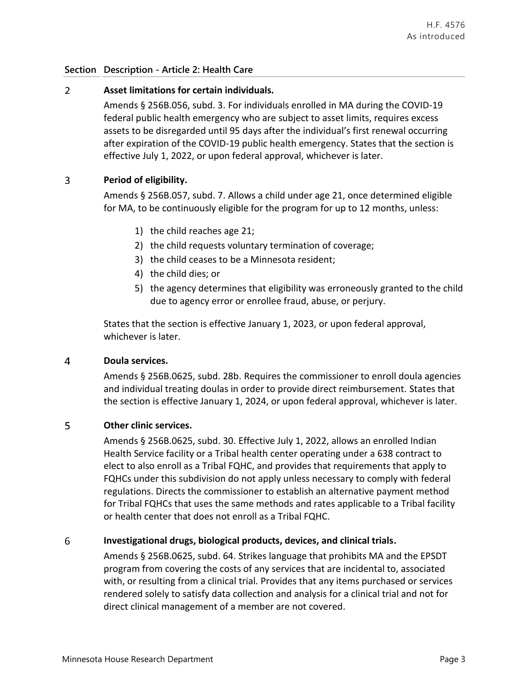### **Section Description - Article 2: Health Care**

### $\overline{2}$ **Asset limitations for certain individuals.**

Amends § 256B.056, subd. 3. For individuals enrolled in MA during the COVID-19 federal public health emergency who are subject to asset limits, requires excess assets to be disregarded until 95 days after the individual's first renewal occurring after expiration of the COVID-19 public health emergency. States that the section is effective July 1, 2022, or upon federal approval, whichever is later.

### 3 **Period of eligibility.**

Amends § 256B.057, subd. 7. Allows a child under age 21, once determined eligible for MA, to be continuously eligible for the program for up to 12 months, unless:

- 1) the child reaches age 21;
- 2) the child requests voluntary termination of coverage;
- 3) the child ceases to be a Minnesota resident;
- 4) the child dies; or
- 5) the agency determines that eligibility was erroneously granted to the child due to agency error or enrollee fraud, abuse, or perjury.

States that the section is effective January 1, 2023, or upon federal approval, whichever is later.

### $\overline{4}$ **Doula services.**

Amends § 256B.0625, subd. 28b. Requires the commissioner to enroll doula agencies and individual treating doulas in order to provide direct reimbursement. States that the section is effective January 1, 2024, or upon federal approval, whichever is later.

### 5 **Other clinic services.**

Amends § 256B.0625, subd. 30. Effective July 1, 2022, allows an enrolled Indian Health Service facility or a Tribal health center operating under a 638 contract to elect to also enroll as a Tribal FQHC, and provides that requirements that apply to FQHCs under this subdivision do not apply unless necessary to comply with federal regulations. Directs the commissioner to establish an alternative payment method for Tribal FQHCs that uses the same methods and rates applicable to a Tribal facility or health center that does not enroll as a Tribal FQHC.

### 6 **Investigational drugs, biological products, devices, and clinical trials.**

Amends § 256B.0625, subd. 64. Strikes language that prohibits MA and the EPSDT program from covering the costs of any services that are incidental to, associated with, or resulting from a clinical trial. Provides that any items purchased or services rendered solely to satisfy data collection and analysis for a clinical trial and not for direct clinical management of a member are not covered.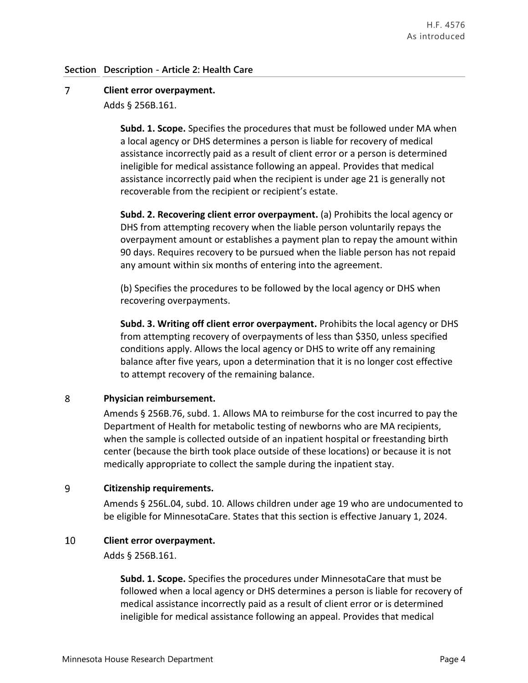### $\overline{7}$ **Client error overpayment.**

Adds § 256B.161.

**Subd. 1. Scope.** Specifies the procedures that must be followed under MA when a local agency or DHS determines a person is liable for recovery of medical assistance incorrectly paid as a result of client error or a person is determined ineligible for medical assistance following an appeal. Provides that medical assistance incorrectly paid when the recipient is under age 21 is generally not recoverable from the recipient or recipient's estate.

**Subd. 2. Recovering client error overpayment.** (a) Prohibits the local agency or DHS from attempting recovery when the liable person voluntarily repays the overpayment amount or establishes a payment plan to repay the amount within 90 days. Requires recovery to be pursued when the liable person has not repaid any amount within six months of entering into the agreement.

(b) Specifies the procedures to be followed by the local agency or DHS when recovering overpayments.

**Subd. 3. Writing off client error overpayment.** Prohibits the local agency or DHS from attempting recovery of overpayments of less than \$350, unless specified conditions apply. Allows the local agency or DHS to write off any remaining balance after five years, upon a determination that it is no longer cost effective to attempt recovery of the remaining balance.

### 8 **Physician reimbursement.**

Amends § 256B.76, subd. 1. Allows MA to reimburse for the cost incurred to pay the Department of Health for metabolic testing of newborns who are MA recipients, when the sample is collected outside of an inpatient hospital or freestanding birth center (because the birth took place outside of these locations) or because it is not medically appropriate to collect the sample during the inpatient stay.

### 9 **Citizenship requirements.**

Amends § 256L.04, subd. 10. Allows children under age 19 who are undocumented to be eligible for MinnesotaCare. States that this section is effective January 1, 2024.

### 10 **Client error overpayment.**

Adds § 256B.161.

**Subd. 1. Scope.** Specifies the procedures under MinnesotaCare that must be followed when a local agency or DHS determines a person is liable for recovery of medical assistance incorrectly paid as a result of client error or is determined ineligible for medical assistance following an appeal. Provides that medical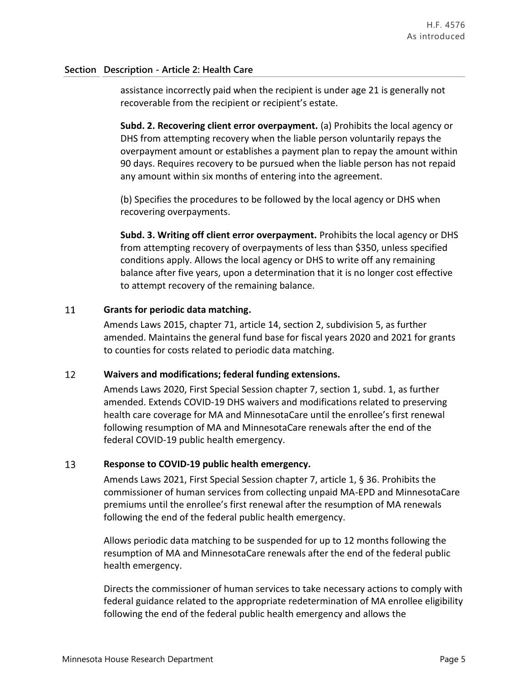### **Section Description - Article 2: Health Care**

assistance incorrectly paid when the recipient is under age 21 is generally not recoverable from the recipient or recipient's estate.

**Subd. 2. Recovering client error overpayment.** (a) Prohibits the local agency or DHS from attempting recovery when the liable person voluntarily repays the overpayment amount or establishes a payment plan to repay the amount within 90 days. Requires recovery to be pursued when the liable person has not repaid any amount within six months of entering into the agreement.

(b) Specifies the procedures to be followed by the local agency or DHS when recovering overpayments.

**Subd. 3. Writing off client error overpayment.** Prohibits the local agency or DHS from attempting recovery of overpayments of less than \$350, unless specified conditions apply. Allows the local agency or DHS to write off any remaining balance after five years, upon a determination that it is no longer cost effective to attempt recovery of the remaining balance.

### 11 **Grants for periodic data matching.**

Amends Laws 2015, chapter 71, article 14, section 2, subdivision 5, as further amended. Maintains the general fund base for fiscal years 2020 and 2021 for grants to counties for costs related to periodic data matching.

### 12 **Waivers and modifications; federal funding extensions.**

Amends Laws 2020, First Special Session chapter 7, section 1, subd. 1, as further amended. Extends COVID-19 DHS waivers and modifications related to preserving health care coverage for MA and MinnesotaCare until the enrollee's first renewal following resumption of MA and MinnesotaCare renewals after the end of the federal COVID-19 public health emergency.

### 13 **Response to COVID-19 public health emergency.**

Amends Laws 2021, First Special Session chapter 7, article 1, § 36. Prohibits the commissioner of human services from collecting unpaid MA-EPD and MinnesotaCare premiums until the enrollee's first renewal after the resumption of MA renewals following the end of the federal public health emergency.

Allows periodic data matching to be suspended for up to 12 months following the resumption of MA and MinnesotaCare renewals after the end of the federal public health emergency.

Directs the commissioner of human services to take necessary actions to comply with federal guidance related to the appropriate redetermination of MA enrollee eligibility following the end of the federal public health emergency and allows the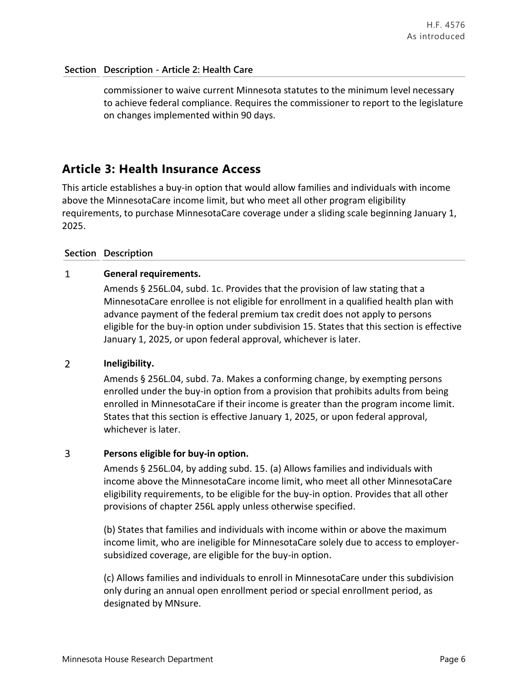commissioner to waive current Minnesota statutes to the minimum level necessary to achieve federal compliance. Requires the commissioner to report to the legislature on changes implemented within 90 days.

## **Article 3: Health Insurance Access**

This article establishes a buy-in option that would allow families and individuals with income above the MinnesotaCare income limit, but who meet all other program eligibility requirements, to purchase MinnesotaCare coverage under a sliding scale beginning January 1, 2025.

### **Section Description**

### $\mathbf{1}$ **General requirements.**

Amends § 256L.04, subd. 1c. Provides that the provision of law stating that a MinnesotaCare enrollee is not eligible for enrollment in a qualified health plan with advance payment of the federal premium tax credit does not apply to persons eligible for the buy-in option under subdivision 15. States that this section is effective January 1, 2025, or upon federal approval, whichever is later.

### $\overline{2}$ **Ineligibility.**

Amends § 256L.04, subd. 7a. Makes a conforming change, by exempting persons enrolled under the buy-in option from a provision that prohibits adults from being enrolled in MinnesotaCare if their income is greater than the program income limit. States that this section is effective January 1, 2025, or upon federal approval, whichever is later.

### $\overline{3}$ **Persons eligible for buy-in option.**

Amends § 256L.04, by adding subd. 15. (a) Allows families and individuals with income above the MinnesotaCare income limit, who meet all other MinnesotaCare eligibility requirements, to be eligible for the buy-in option. Provides that all other provisions of chapter 256L apply unless otherwise specified.

(b) States that families and individuals with income within or above the maximum income limit, who are ineligible for MinnesotaCare solely due to access to employersubsidized coverage, are eligible for the buy-in option.

(c) Allows families and individuals to enroll in MinnesotaCare under this subdivision only during an annual open enrollment period or special enrollment period, as designated by MNsure.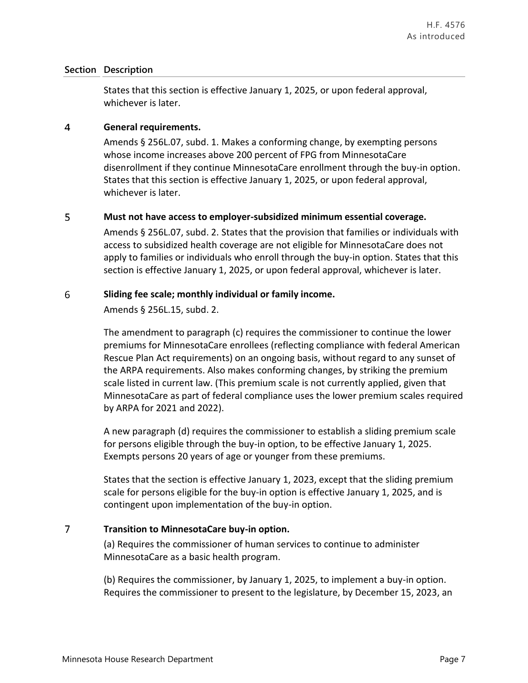### **Section Description**

States that this section is effective January 1, 2025, or upon federal approval, whichever is later.

#### $\overline{4}$ **General requirements.**

Amends § 256L.07, subd. 1. Makes a conforming change, by exempting persons whose income increases above 200 percent of FPG from MinnesotaCare disenrollment if they continue MinnesotaCare enrollment through the buy-in option. States that this section is effective January 1, 2025, or upon federal approval, whichever is later.

### 5 **Must not have access to employer-subsidized minimum essential coverage.**

Amends § 256L.07, subd. 2. States that the provision that families or individuals with access to subsidized health coverage are not eligible for MinnesotaCare does not apply to families or individuals who enroll through the buy-in option. States that this section is effective January 1, 2025, or upon federal approval, whichever is later.

#### 6 **Sliding fee scale; monthly individual or family income.**

Amends § 256L.15, subd. 2.

The amendment to paragraph (c) requires the commissioner to continue the lower premiums for MinnesotaCare enrollees (reflecting compliance with federal American Rescue Plan Act requirements) on an ongoing basis, without regard to any sunset of the ARPA requirements. Also makes conforming changes, by striking the premium scale listed in current law. (This premium scale is not currently applied, given that MinnesotaCare as part of federal compliance uses the lower premium scales required by ARPA for 2021 and 2022).

A new paragraph (d) requires the commissioner to establish a sliding premium scale for persons eligible through the buy-in option, to be effective January 1, 2025. Exempts persons 20 years of age or younger from these premiums.

States that the section is effective January 1, 2023, except that the sliding premium scale for persons eligible for the buy-in option is effective January 1, 2025, and is contingent upon implementation of the buy-in option.

### $\overline{7}$ **Transition to MinnesotaCare buy-in option.**

(a) Requires the commissioner of human services to continue to administer MinnesotaCare as a basic health program.

(b) Requires the commissioner, by January 1, 2025, to implement a buy-in option. Requires the commissioner to present to the legislature, by December 15, 2023, an